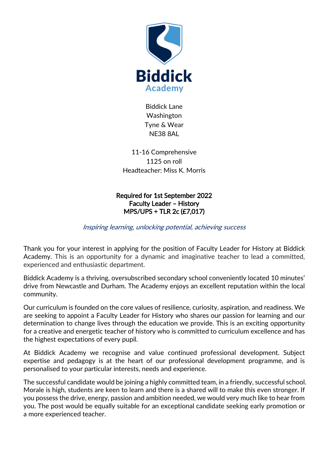

Biddick Lane Washington Tyne & Wear NE38 8AL

11-16 Comprehensive 1125 on roll Headteacher: Miss K. Morris

Required for 1st September 2022 Faculty Leader – History MPS/UPS + TLR 2c (£7,017)

Inspiring learning, unlocking potential, achieving success

Thank you for your interest in applying for the position of Faculty Leader for History at Biddick Academy. This is an opportunity for a dynamic and imaginative teacher to lead a committed, experienced and enthusiastic department.

Biddick Academy is a thriving, oversubscribed secondary school conveniently located 10 minutes' drive from Newcastle and Durham. The Academy enjoys an excellent reputation within the local community.

Our curriculum is founded on the core values of resilience, curiosity, aspiration, and readiness. We are seeking to appoint a Faculty Leader for History who shares our passion for learning and our determination to change lives through the education we provide. This is an exciting opportunity for a creative and energetic teacher of history who is committed to curriculum excellence and has the highest expectations of every pupil.

At Biddick Academy we recognise and value continued professional development. Subject expertise and pedagogy is at the heart of our professional development programme, and is personalised to your particular interests, needs and experience.

The successful candidate would be joining a highly committed team, in a friendly, successful school. Morale is high, students are keen to learn and there is a shared will to make this even stronger. If you possess the drive, energy, passion and ambition needed, we would very much like to hear from you. The post would be equally suitable for an exceptional candidate seeking early promotion or a more experienced teacher.